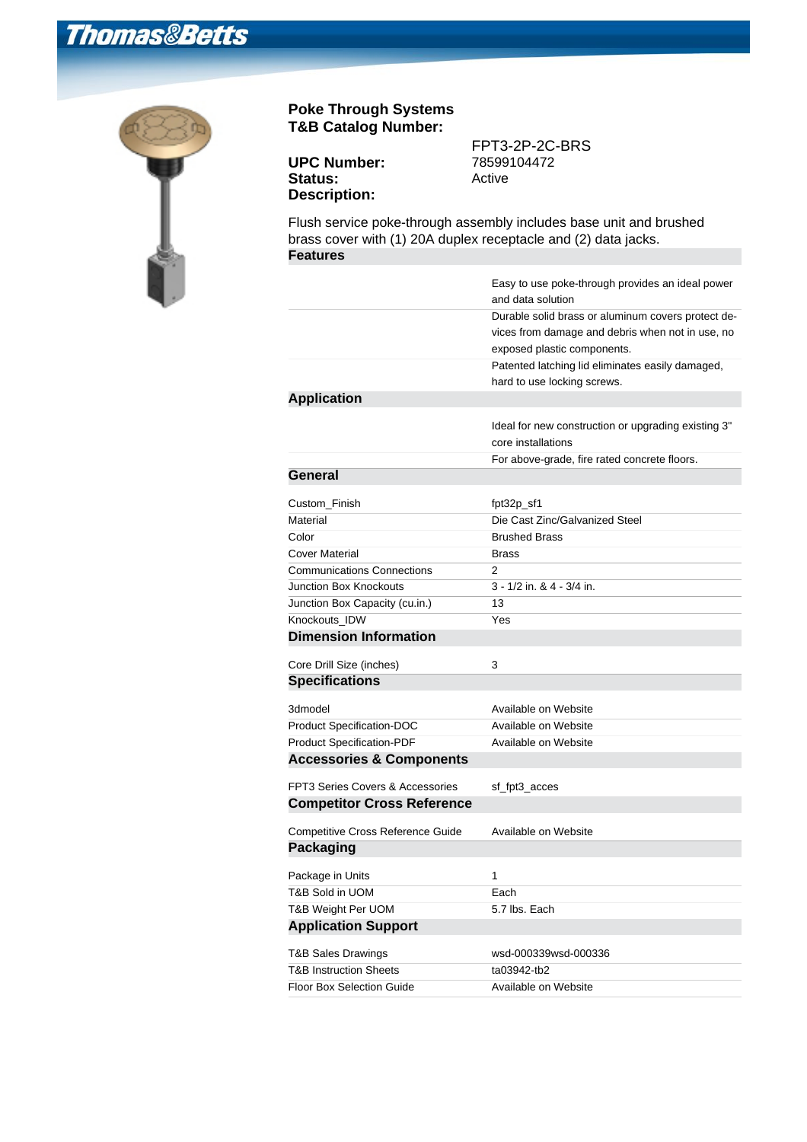## **Thomas&Betts**



## **Poke Through Systems T&B Catalog Number:**

| <b>UPC Number:</b>  | 78599104472 |
|---------------------|-------------|
| <b>Status:</b>      | Active      |
| <b>Description:</b> |             |

FPT3-2P-2C-BRS

Flush service poke-through assembly includes base unit and brushed brass cover with (1) 20A duplex receptacle and (2) data jacks. **Features**

|                                             | Easy to use poke-through provides an ideal power<br>and data solution                                                                 |
|---------------------------------------------|---------------------------------------------------------------------------------------------------------------------------------------|
|                                             | Durable solid brass or aluminum covers protect de-<br>vices from damage and debris when not in use, no<br>exposed plastic components. |
|                                             | Patented latching lid eliminates easily damaged,<br>hard to use locking screws.                                                       |
| <b>Application</b>                          |                                                                                                                                       |
|                                             | Ideal for new construction or upgrading existing 3"<br>core installations                                                             |
|                                             | For above-grade, fire rated concrete floors.                                                                                          |
| General                                     |                                                                                                                                       |
| Custom_Finish                               | fpt32p_sf1                                                                                                                            |
| Material                                    | Die Cast Zinc/Galvanized Steel                                                                                                        |
| Color                                       | <b>Brushed Brass</b>                                                                                                                  |
| Cover Material                              | <b>Brass</b>                                                                                                                          |
| <b>Communications Connections</b>           | 2                                                                                                                                     |
| Junction Box Knockouts                      | 3 - 1/2 in. & 4 - 3/4 in.                                                                                                             |
| Junction Box Capacity (cu.in.)              | 13                                                                                                                                    |
| Knockouts IDW                               | Yes                                                                                                                                   |
| <b>Dimension Information</b>                |                                                                                                                                       |
| Core Drill Size (inches)                    | 3                                                                                                                                     |
| <b>Specifications</b>                       |                                                                                                                                       |
|                                             |                                                                                                                                       |
| 3dmodel                                     | Available on Website                                                                                                                  |
| Product Specification-DOC                   | Available on Website                                                                                                                  |
| <b>Product Specification-PDF</b>            | Available on Website                                                                                                                  |
| <b>Accessories &amp; Components</b>         |                                                                                                                                       |
| <b>FPT3 Series Covers &amp; Accessories</b> | sf_fpt3_acces                                                                                                                         |
| <b>Competitor Cross Reference</b>           |                                                                                                                                       |
| Competitive Cross Reference Guide           | Available on Website                                                                                                                  |
| <b>Packaging</b>                            |                                                                                                                                       |
| Package in Units                            | 1                                                                                                                                     |
| T&B Sold in UOM                             | Each                                                                                                                                  |
| T&B Weight Per UOM                          | 5.7 lbs. Each                                                                                                                         |
| <b>Application Support</b>                  |                                                                                                                                       |
| <b>T&amp;B Sales Drawings</b>               | wsd-000339wsd-000336                                                                                                                  |
| <b>T&amp;B Instruction Sheets</b>           | ta03942-tb2                                                                                                                           |
| <b>Floor Box Selection Guide</b>            | Available on Website                                                                                                                  |
|                                             |                                                                                                                                       |